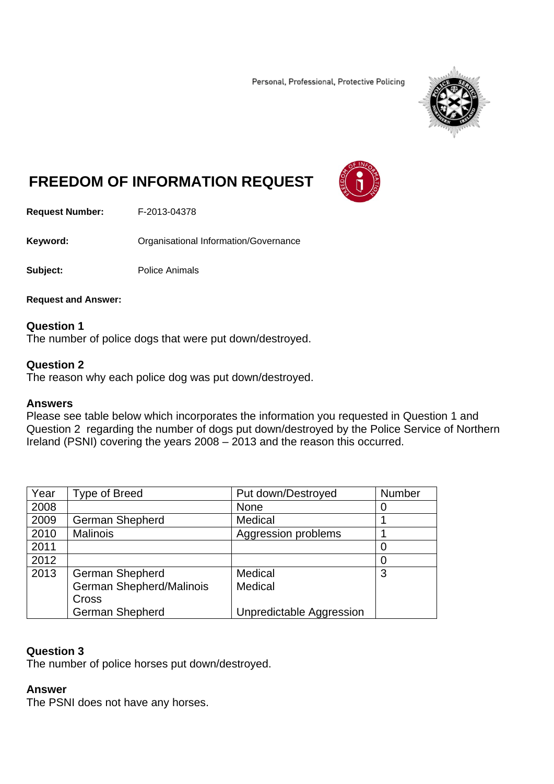Personal, Professional, Protective Policing



# **FREEDOM OF INFORMATION REQUEST**



**Request Number:** F-2013-04378

**Keyword: C**rganisational Information/Governance

**Subject:** Police Animals

**Request and Answer:** 

# **Question 1**

The number of police dogs that were put down/destroyed.

# **Question 2**

The reason why each police dog was put down/destroyed.

### **Answers**

Please see table below which incorporates the information you requested in Question 1 and Question 2 regarding the number of dogs put down/destroyed by the Police Service of Northern Ireland (PSNI) covering the years 2008 – 2013 and the reason this occurred.

| Year | <b>Type of Breed</b>     | Put down/Destroyed              | Number |
|------|--------------------------|---------------------------------|--------|
| 2008 |                          | None                            |        |
| 2009 | <b>German Shepherd</b>   | Medical                         |        |
| 2010 | <b>Malinois</b>          | Aggression problems             |        |
| 2011 |                          |                                 |        |
| 2012 |                          |                                 |        |
| 2013 | <b>German Shepherd</b>   | Medical                         | 3      |
|      | German Shepherd/Malinois | Medical                         |        |
|      | Cross                    |                                 |        |
|      | <b>German Shepherd</b>   | <b>Unpredictable Aggression</b> |        |

# **Question 3**

The number of police horses put down/destroyed.

### **Answer**

The PSNI does not have any horses.